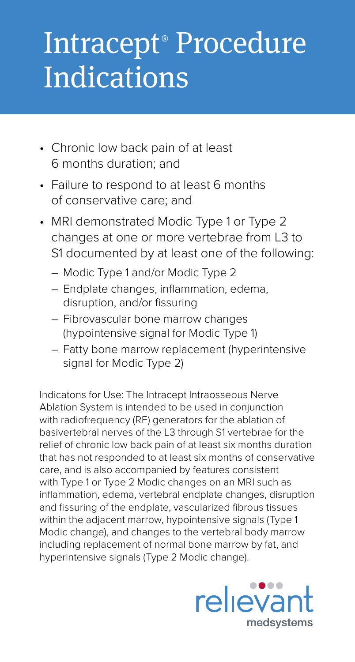## Intracept<sup>®</sup> Procedure **Indications**

- Chronic low back pain of at least 6 months duration; and
- Failure to respond to at least 6 months of conservative care; and
- MRI demonstrated Modic Type 1 or Type 2 changes at one or more vertebrae from L3 to S1 documented by at least one of the following:
	- Modic Type 1 and/or Modic Type 2
	- Endplate changes, inflammation, edema, disruption, and/or fissuring
	- Fibrovascular bone marrow changes (hypointensive signal for Modic Type 1)
	- Fatty bone marrow replacement (hyperintensive signal for Modic Type 2)

Indicatons for Use: The Intracept Intraosseous Nerve Ablation System is intended to be used in conjunction with radiofrequency (RF) generators for the ablation of basivertebral nerves of the L3 through S1 vertebrae for the relief of chronic low back pain of at least six months duration that has not responded to at least six months of conservative care, and is also accompanied by features consistent with Type 1 or Type 2 Modic changes on an MRI such as inflammation, edema, vertebral endplate changes, disruption and fissuring of the endplate, vascularized fibrous tissues within the adjacent marrow, hypointensive signals (Type 1 Modic change), and changes to the vertebral body marrow including replacement of normal bone marrow by fat, and hyperintensive signals (Type 2 Modic change).